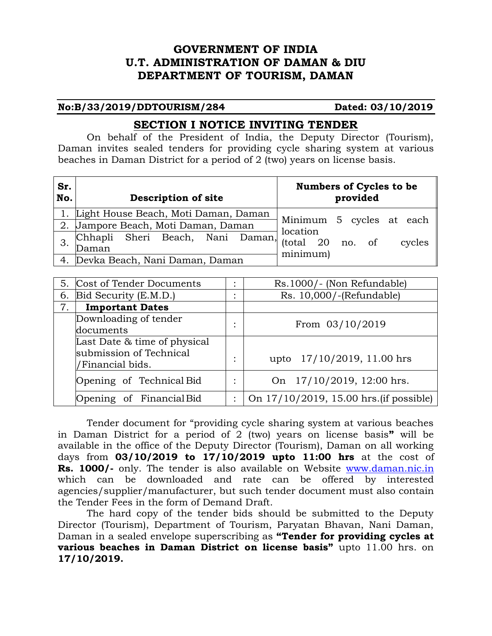# **GOVERNMENT OF INDIA U.T. ADMINISTRATION OF DAMAN & DIU DEPARTMENT OF TOURISM, DAMAN**

#### **No:B/33/2019/DDTOURISM/284 Dated: 03/10/2019**

# **SECTION I NOTICE INVITING TENDER**

On behalf of the President of India, the Deputy Director (Tourism), Daman invites sealed tenders for providing cycle sharing system at various beaches in Daman District for a period of 2 (two) years on license basis.

| Sr.<br>No. | <b>Description of site</b>              | <b>Numbers of Cycles to be</b><br>provided |  |  |  |
|------------|-----------------------------------------|--------------------------------------------|--|--|--|
|            | 1. Light House Beach, Moti Daman, Daman |                                            |  |  |  |
| 2.         | Jampore Beach, Moti Daman, Daman        | Minimum 5 cycles at each<br>location       |  |  |  |
|            | Chhapli Sheri Beach, Nani Daman,        | (total $20$ no. of<br>cycles               |  |  |  |
|            | Daman                                   | minimum)                                   |  |  |  |
|            | 4. Devka Beach, Nani Daman, Daman       |                                            |  |  |  |

| 5. | Cost of Tender Documents     |           | Rs.1000/- (Non Refundable)              |  |
|----|------------------------------|-----------|-----------------------------------------|--|
| 6. | Bid Security (E.M.D.)        |           | Rs. 10,000/-(Refundable)                |  |
| 7. | <b>Important Dates</b>       |           |                                         |  |
|    | Downloading of tender        | $\bullet$ | From 03/10/2019                         |  |
|    | documents                    |           |                                         |  |
|    | Last Date & time of physical |           |                                         |  |
|    | submission of Technical      | ٠         | upto 17/10/2019, 11.00 hrs              |  |
|    | /Financial bids.             |           |                                         |  |
|    | Opening of Technical Bid     | ٠         | On 17/10/2019, 12:00 hrs.               |  |
|    | Opening of Financial Bid     |           | On 17/10/2019, 15.00 hrs. (if possible) |  |

Tender document for "providing cycle sharing system at various beaches in Daman District for a period of 2 (two) years on license basis**"** will be available in the office of the Deputy Director (Tourism), Daman on all working days from **03/10/2019 to 17/10/2019 upto 11:00 hrs** at the cost of **Rs. 1000/-** only. The tender is also available on Website [www.daman.nic.in](http://www.daman.nic.in/) which can be downloaded and rate can be offered by interested agencies/supplier/manufacturer, but such tender document must also contain the Tender Fees in the form of Demand Draft.

The hard copy of the tender bids should be submitted to the Deputy Director (Tourism), Department of Tourism, Paryatan Bhavan, Nani Daman, Daman in a sealed envelope superscribing as **"Tender for providing cycles at various beaches in Daman District on license basis"** upto 11.00 hrs. on **17/10/2019.**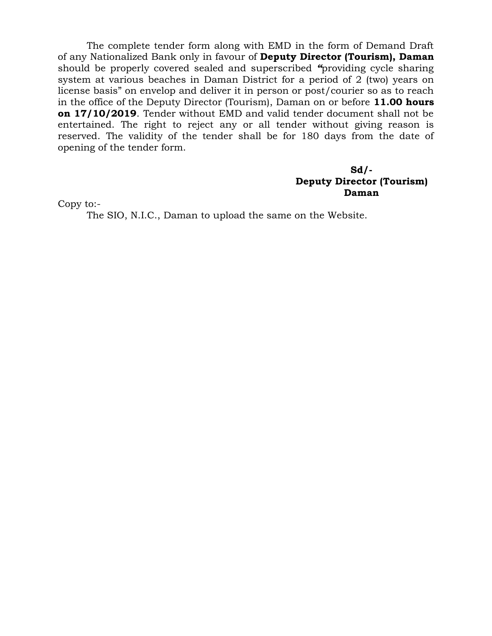The complete tender form along with EMD in the form of Demand Draft of any Nationalized Bank only in favour of **Deputy Director (Tourism), Daman** should be properly covered sealed and superscribed *"*providing cycle sharing system at various beaches in Daman District for a period of 2 (two) years on license basis" on envelop and deliver it in person or post/courier so as to reach in the office of the Deputy Director (Tourism), Daman on or before **11.00 hours on 17/10/2019**. Tender without EMD and valid tender document shall not be entertained. The right to reject any or all tender without giving reason is reserved. The validity of the tender shall be for 180 days from the date of opening of the tender form.

#### **Sd/- Deputy Director (Tourism) Daman**

Copy to:-

The SIO, N.I.C., Daman to upload the same on the Website.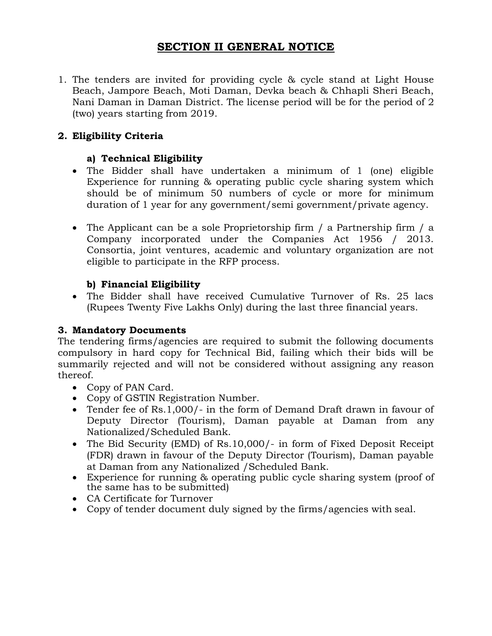# **SECTION II GENERAL NOTICE**

1. The tenders are invited for providing cycle & cycle stand at Light House Beach, Jampore Beach, Moti Daman, Devka beach & Chhapli Sheri Beach, Nani Daman in Daman District. The license period will be for the period of 2 (two) years starting from 2019.

# **2. Eligibility Criteria**

# **a) Technical Eligibility**

- The Bidder shall have undertaken a minimum of 1 (one) eligible Experience for running & operating public cycle sharing system which should be of minimum 50 numbers of cycle or more for minimum duration of 1 year for any government/semi government/private agency.
- The Applicant can be a sole Proprietorship firm / a Partnership firm / a Company incorporated under the Companies Act 1956 / 2013. Consortia, joint ventures, academic and voluntary organization are not eligible to participate in the RFP process.

# **b) Financial Eligibility**

 The Bidder shall have received Cumulative Turnover of Rs. 25 lacs (Rupees Twenty Five Lakhs Only) during the last three financial years.

# **3. Mandatory Documents**

The tendering firms/agencies are required to submit the following documents compulsory in hard copy for Technical Bid, failing which their bids will be summarily rejected and will not be considered without assigning any reason thereof.

- Copy of PAN Card.
- Copy of GSTIN Registration Number.
- Tender fee of Rs.1,000/- in the form of Demand Draft drawn in favour of Deputy Director (Tourism), Daman payable at Daman from any Nationalized/Scheduled Bank.
- The Bid Security (EMD) of Rs.10,000/- in form of Fixed Deposit Receipt (FDR) drawn in favour of the Deputy Director (Tourism), Daman payable at Daman from any Nationalized /Scheduled Bank.
- Experience for running & operating public cycle sharing system (proof of the same has to be submitted)
- CA Certificate for Turnover
- Copy of tender document duly signed by the firms/agencies with seal.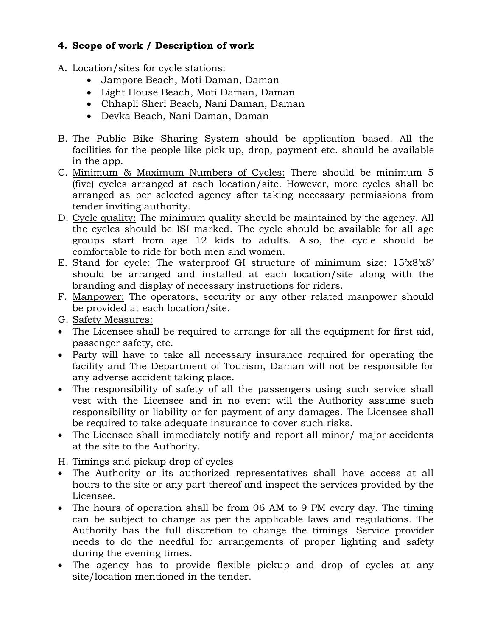# **4. Scope of work / Description of work**

- A. Location/sites for cycle stations:
	- Jampore Beach, Moti Daman, Daman
	- Light House Beach, Moti Daman, Daman
	- Chhapli Sheri Beach, Nani Daman, Daman
	- Devka Beach, Nani Daman, Daman
- B. The Public Bike Sharing System should be application based. All the facilities for the people like pick up, drop, payment etc. should be available in the app.
- C. Minimum & Maximum Numbers of Cycles: There should be minimum 5 (five) cycles arranged at each location/site. However, more cycles shall be arranged as per selected agency after taking necessary permissions from tender inviting authority.
- D. Cycle quality: The minimum quality should be maintained by the agency. All the cycles should be ISI marked. The cycle should be available for all age groups start from age 12 kids to adults. Also, the cycle should be comfortable to ride for both men and women.
- E. Stand for cycle: The waterproof GI structure of minimum size: 15'x8'x8' should be arranged and installed at each location/site along with the branding and display of necessary instructions for riders.
- F. Manpower: The operators, security or any other related manpower should be provided at each location/site.
- G. Safety Measures:
- The Licensee shall be required to arrange for all the equipment for first aid, passenger safety, etc.
- Party will have to take all necessary insurance required for operating the facility and The Department of Tourism, Daman will not be responsible for any adverse accident taking place.
- The responsibility of safety of all the passengers using such service shall vest with the Licensee and in no event will the Authority assume such responsibility or liability or for payment of any damages. The Licensee shall be required to take adequate insurance to cover such risks.
- The Licensee shall immediately notify and report all minor/ major accidents at the site to the Authority.

H. Timings and pickup drop of cycles

- The Authority or its authorized representatives shall have access at all hours to the site or any part thereof and inspect the services provided by the Licensee.
- The hours of operation shall be from 06 AM to 9 PM every day. The timing can be subject to change as per the applicable laws and regulations. The Authority has the full discretion to change the timings. Service provider needs to do the needful for arrangements of proper lighting and safety during the evening times.
- The agency has to provide flexible pickup and drop of cycles at any site/location mentioned in the tender.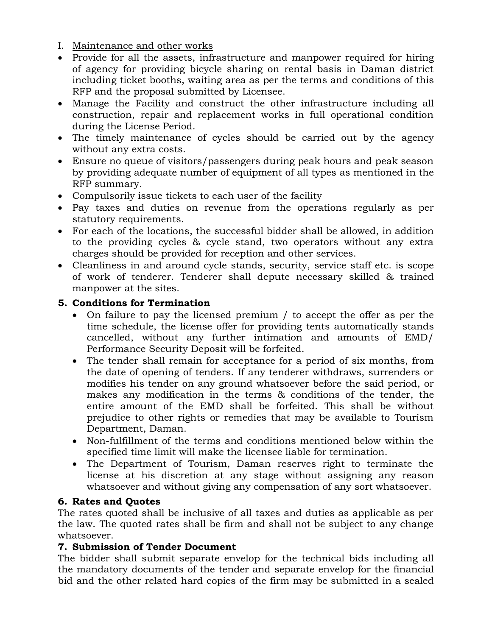- I. Maintenance and other works
- Provide for all the assets, infrastructure and manpower required for hiring of agency for providing bicycle sharing on rental basis in Daman district including ticket booths, waiting area as per the terms and conditions of this RFP and the proposal submitted by Licensee.
- Manage the Facility and construct the other infrastructure including all construction, repair and replacement works in full operational condition during the License Period.
- The timely maintenance of cycles should be carried out by the agency without any extra costs.
- Ensure no queue of visitors/passengers during peak hours and peak season by providing adequate number of equipment of all types as mentioned in the RFP summary.
- Compulsorily issue tickets to each user of the facility
- Pay taxes and duties on revenue from the operations regularly as per statutory requirements.
- For each of the locations, the successful bidder shall be allowed, in addition to the providing cycles & cycle stand, two operators without any extra charges should be provided for reception and other services.
- Cleanliness in and around cycle stands, security, service staff etc. is scope of work of tenderer. Tenderer shall depute necessary skilled & trained manpower at the sites.

## **5. Conditions for Termination**

- On failure to pay the licensed premium / to accept the offer as per the time schedule, the license offer for providing tents automatically stands cancelled, without any further intimation and amounts of EMD/ Performance Security Deposit will be forfeited.
- The tender shall remain for acceptance for a period of six months, from the date of opening of tenders. If any tenderer withdraws, surrenders or modifies his tender on any ground whatsoever before the said period, or makes any modification in the terms & conditions of the tender, the entire amount of the EMD shall be forfeited. This shall be without prejudice to other rights or remedies that may be available to Tourism Department, Daman.
- Non-fulfillment of the terms and conditions mentioned below within the specified time limit will make the licensee liable for termination.
- The Department of Tourism, Daman reserves right to terminate the license at his discretion at any stage without assigning any reason whatsoever and without giving any compensation of any sort whatsoever.

## **6. Rates and Quotes**

The rates quoted shall be inclusive of all taxes and duties as applicable as per the law. The quoted rates shall be firm and shall not be subject to any change whatsoever.

## **7. Submission of Tender Document**

The bidder shall submit separate envelop for the technical bids including all the mandatory documents of the tender and separate envelop for the financial bid and the other related hard copies of the firm may be submitted in a sealed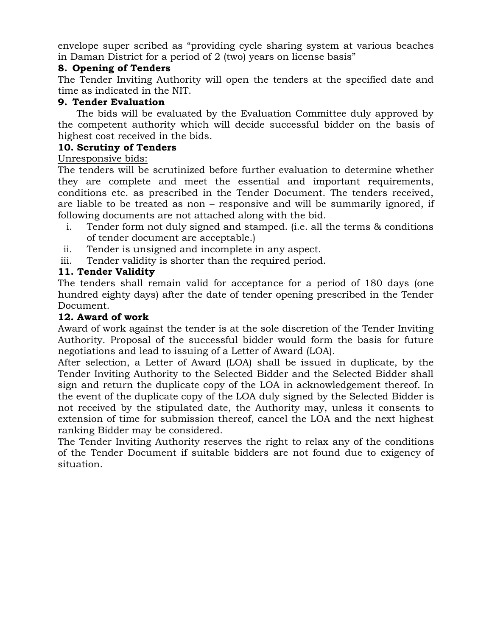envelope super scribed as "providing cycle sharing system at various beaches in Daman District for a period of 2 (two) years on license basis"

#### **8. Opening of Tenders**

The Tender Inviting Authority will open the tenders at the specified date and time as indicated in the NIT.

#### **9. Tender Evaluation**

 The bids will be evaluated by the Evaluation Committee duly approved by the competent authority which will decide successful bidder on the basis of highest cost received in the bids.

#### **10. Scrutiny of Tenders**

#### Unresponsive bids:

The tenders will be scrutinized before further evaluation to determine whether they are complete and meet the essential and important requirements, conditions etc. as prescribed in the Tender Document. The tenders received, are liable to be treated as non – responsive and will be summarily ignored, if following documents are not attached along with the bid.

- i. Tender form not duly signed and stamped. (i.e. all the terms & conditions of tender document are acceptable.)
- ii. Tender is unsigned and incomplete in any aspect.
- iii. Tender validity is shorter than the required period.

## **11. Tender Validity**

The tenders shall remain valid for acceptance for a period of 180 days (one hundred eighty days) after the date of tender opening prescribed in the Tender Document.

## **12. Award of work**

Award of work against the tender is at the sole discretion of the Tender Inviting Authority. Proposal of the successful bidder would form the basis for future negotiations and lead to issuing of a Letter of Award (LOA).

After selection, a Letter of Award (LOA) shall be issued in duplicate, by the Tender Inviting Authority to the Selected Bidder and the Selected Bidder shall sign and return the duplicate copy of the LOA in acknowledgement thereof. In the event of the duplicate copy of the LOA duly signed by the Selected Bidder is not received by the stipulated date, the Authority may, unless it consents to extension of time for submission thereof, cancel the LOA and the next highest ranking Bidder may be considered.

The Tender Inviting Authority reserves the right to relax any of the conditions of the Tender Document if suitable bidders are not found due to exigency of situation.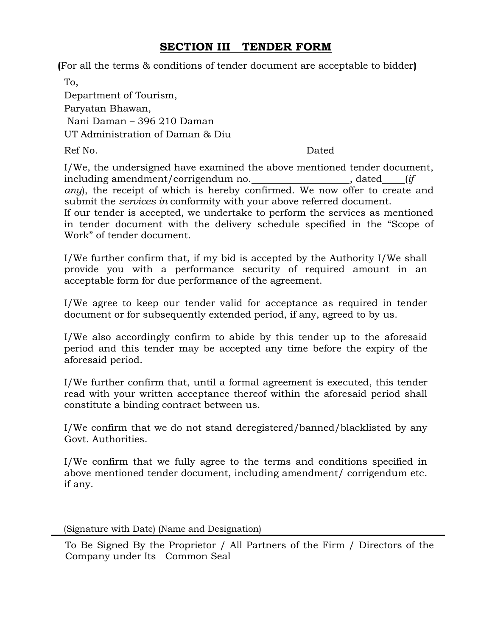# **SECTION III TENDER FORM**

**(**For all the terms & conditions of tender document are acceptable to bidder**)**

To, Department of Tourism, Paryatan Bhawan, Nani Daman – 396 210 Daman UT Administration of Daman & Diu Ref No. Dated

I/We, the undersigned have examined the above mentioned tender document, including amendment/corrigendum no.  $\qquad \qquad$ , dated (*if any*), the receipt of which is hereby confirmed. We now offer to create and submit the *services in* conformity with your above referred document. If our tender is accepted, we undertake to perform the services as mentioned in tender document with the delivery schedule specified in the "Scope of Work" of tender document.

I/We further confirm that, if my bid is accepted by the Authority I/We shall provide you with a performance security of required amount in an acceptable form for due performance of the agreement.

I/We agree to keep our tender valid for acceptance as required in tender document or for subsequently extended period, if any, agreed to by us.

I/We also accordingly confirm to abide by this tender up to the aforesaid period and this tender may be accepted any time before the expiry of the aforesaid period.

I/We further confirm that, until a formal agreement is executed, this tender read with your written acceptance thereof within the aforesaid period shall constitute a binding contract between us.

I/We confirm that we do not stand deregistered/banned/blacklisted by any Govt. Authorities.

I/We confirm that we fully agree to the terms and conditions specified in above mentioned tender document, including amendment/ corrigendum etc. if any.

(Signature with Date) (Name and Designation)

To Be Signed By the Proprietor / All Partners of the Firm / Directors of the Company under Its Common Seal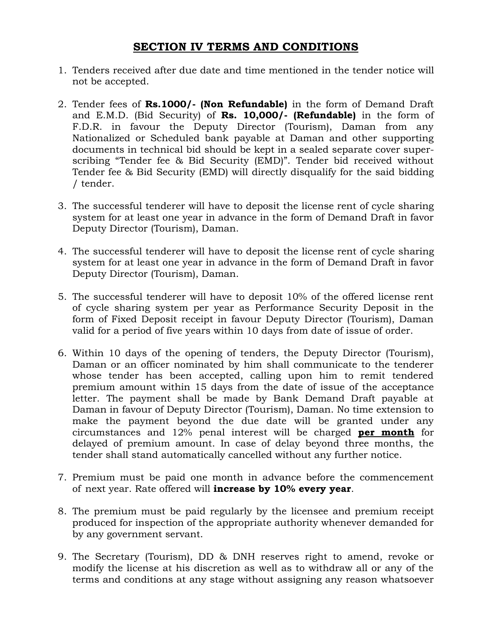# **SECTION IV TERMS AND CONDITIONS**

- 1. Tenders received after due date and time mentioned in the tender notice will not be accepted.
- 2. Tender fees of **Rs.1000/- (Non Refundable)** in the form of Demand Draft and E.M.D. (Bid Security) of **Rs. 10,000/- (Refundable)** in the form of F.D.R. in favour the Deputy Director (Tourism), Daman from any Nationalized or Scheduled bank payable at Daman and other supporting documents in technical bid should be kept in a sealed separate cover superscribing "Tender fee & Bid Security (EMD)". Tender bid received without Tender fee & Bid Security (EMD) will directly disqualify for the said bidding / tender.
- 3. The successful tenderer will have to deposit the license rent of cycle sharing system for at least one year in advance in the form of Demand Draft in favor Deputy Director (Tourism), Daman.
- 4. The successful tenderer will have to deposit the license rent of cycle sharing system for at least one year in advance in the form of Demand Draft in favor Deputy Director (Tourism), Daman.
- 5. The successful tenderer will have to deposit 10% of the offered license rent of cycle sharing system per year as Performance Security Deposit in the form of Fixed Deposit receipt in favour Deputy Director (Tourism), Daman valid for a period of five years within 10 days from date of issue of order.
- 6. Within 10 days of the opening of tenders, the Deputy Director (Tourism), Daman or an officer nominated by him shall communicate to the tenderer whose tender has been accepted, calling upon him to remit tendered premium amount within 15 days from the date of issue of the acceptance letter. The payment shall be made by Bank Demand Draft payable at Daman in favour of Deputy Director (Tourism), Daman. No time extension to make the payment beyond the due date will be granted under any circumstances and 12% penal interest will be charged **per month** for delayed of premium amount. In case of delay beyond three months, the tender shall stand automatically cancelled without any further notice.
- 7. Premium must be paid one month in advance before the commencement of next year. Rate offered will **increase by 10% every year**.
- 8. The premium must be paid regularly by the licensee and premium receipt produced for inspection of the appropriate authority whenever demanded for by any government servant.
- 9. The Secretary (Tourism), DD & DNH reserves right to amend, revoke or modify the license at his discretion as well as to withdraw all or any of the terms and conditions at any stage without assigning any reason whatsoever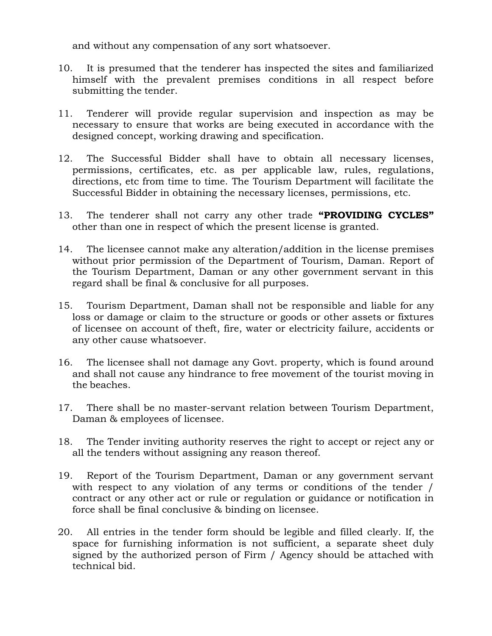and without any compensation of any sort whatsoever.

- 10. It is presumed that the tenderer has inspected the sites and familiarized himself with the prevalent premises conditions in all respect before submitting the tender.
- 11. Tenderer will provide regular supervision and inspection as may be necessary to ensure that works are being executed in accordance with the designed concept, working drawing and specification.
- 12. The Successful Bidder shall have to obtain all necessary licenses, permissions, certificates, etc. as per applicable law, rules, regulations, directions, etc from time to time. The Tourism Department will facilitate the Successful Bidder in obtaining the necessary licenses, permissions, etc.
- 13. The tenderer shall not carry any other trade **"PROVIDING CYCLES"**  other than one in respect of which the present license is granted.
- 14. The licensee cannot make any alteration/addition in the license premises without prior permission of the Department of Tourism, Daman. Report of the Tourism Department, Daman or any other government servant in this regard shall be final & conclusive for all purposes.
- 15. Tourism Department, Daman shall not be responsible and liable for any loss or damage or claim to the structure or goods or other assets or fixtures of licensee on account of theft, fire, water or electricity failure, accidents or any other cause whatsoever.
- 16. The licensee shall not damage any Govt. property, which is found around and shall not cause any hindrance to free movement of the tourist moving in the beaches.
- 17. There shall be no master-servant relation between Tourism Department, Daman & employees of licensee.
- 18. The Tender inviting authority reserves the right to accept or reject any or all the tenders without assigning any reason thereof.
- 19. Report of the Tourism Department, Daman or any government servant with respect to any violation of any terms or conditions of the tender / contract or any other act or rule or regulation or guidance or notification in force shall be final conclusive & binding on licensee.
- 20. All entries in the tender form should be legible and filled clearly. If, the space for furnishing information is not sufficient, a separate sheet duly signed by the authorized person of Firm / Agency should be attached with technical bid.